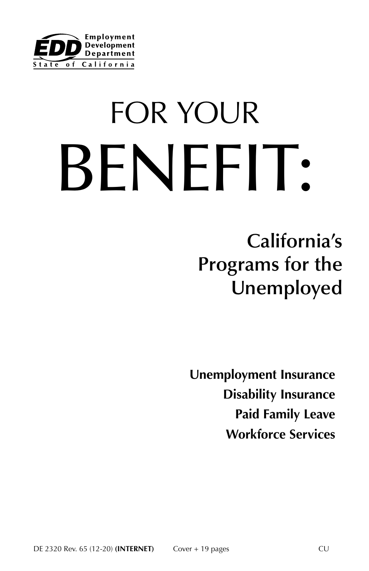

# FOR YOUR BENEFIT:

**California's Programs for the Unemployed**

**Unemployment Insurance Disability Insurance Paid Family Leave Workforce Services**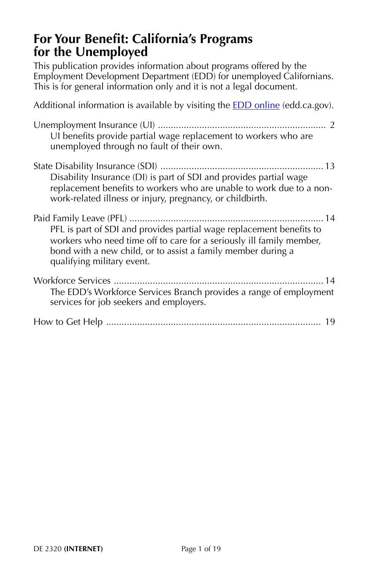## **For Your Benefit: California's Programs for the Unemployed**

This publication provides information about programs offered by the Employment Development Department (EDD) for unemployed Californians. This is for general information only and it is not a legal document.

Additional information is available by visiting the **EDD** online (edd.ca.gov). Unemployment Insurance (UI) ................................................................. [2](#page-2-0) UI benefits provide partial wage replacement to workers who are unemployed through no fault of their own. State Disability Insurance (SDI) ............................................................... [13](#page-13-0) Disability Insurance (DI) is part of SDI and provides partial wage replacement benefits to workers who are unable to work due to a nonwork-related illness or injury, pregnancy, or childbirth. Paid Family Leave (PFL) ........................................................................... [14](#page-14-0) PFL is part of SDI and provides partial wage replacement benefits to workers who need time off to care for a seriously ill family member, bond with a new child, or to assist a family member during a qualifying military event. Workforce Services ................................................................................. [14](#page-14-0) The EDD's Workforce Services Branch provides a range of employment services for job seekers and employers. How to Get Help ................................................................................... [19](#page-19-0)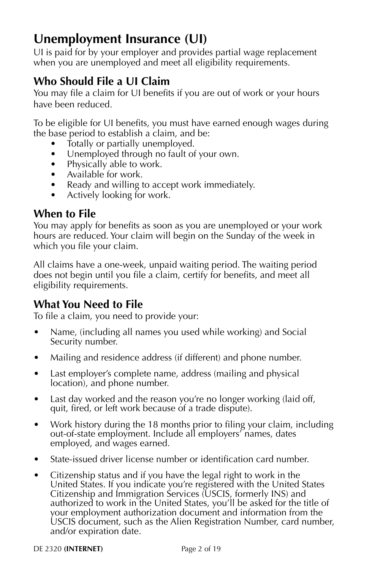## <span id="page-2-0"></span>**Unemployment Insurance (UI)**

UI is paid for by your employer and provides partial wage replacement when you are unemployed and meet all eligibility requirements.

## **Who Should File a UI Claim**

You may file a claim for UI benefits if you are out of work or your hours have been reduced.

To be eligible for UI benefits, you must have earned enough wages during the base period to establish a claim, and be:

- Totally or partially unemployed.
- Unemployed through no fault of your own.
- Physically able to work.
- Available for work.
- Ready and willing to accept work immediately.
- Actively looking for work.

## **When to File**

You may apply for benefits as soon as you are unemployed or your work hours are reduced. Your claim will begin on the Sunday of the week in which you file your claim.

All claims have a one-week, unpaid waiting period. The waiting period does not begin until you file a claim, certify for benefits, and meet all eligibility requirements.

## **What You Need to File**

To file a claim, you need to provide your:

- Name, (including all names you used while working) and Social Security number.
- Mailing and residence address (if different) and phone number.
- Last employer's complete name, address (mailing and physical location), and phone number.
- Last day worked and the reason you're no longer working (laid off, quit, fired, or left work because of a trade dispute).
- Work history during the 18 months prior to filing your claim, including out-of-state employment. Include all employers' names, dates employed, and wages earned.
- State-issued driver license number or identification card number.
- Citizenship status and if you have the legal right to work in the United States. If you indicate you're registered with the United States Citizenship and Immigration Services (USCIS, formerly INS) and authorized to work in the United States, you'll be asked for the title of your employment authorization document and information from the USCIS document, such as the Alien Registration Number, card number, and/or expiration date.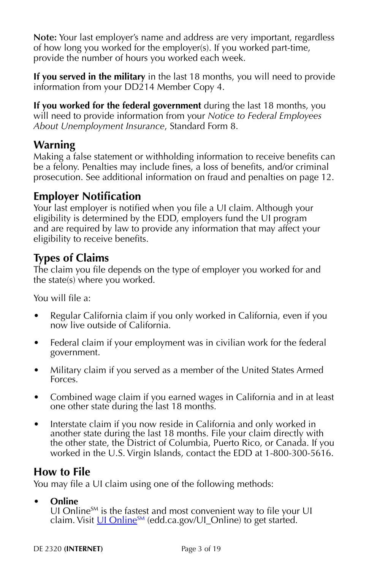**Note:** Your last employer's name and address are very important, regardless of how long you worked for the employer(s). If you worked part-time, provide the number of hours you worked each week.

**If you served in the military** in the last 18 months, you will need to provide information from your DD214 Member Copy 4.

**If you worked for the federal government** during the last 18 months, you will need to provide information from your *Notice to Federal Employees About Unemployment Insurance*, Standard Form 8.

## **Warning**

Making a false statement or withholding information to receive benefits can be a felony. Penalties may include fines, a loss of benefits, and/or criminal prosecution. See additional information on fraud and penalties on [page 12](#page-12-0).

## **Employer Notification**

Your last employer is notified when you file a UI claim. Although your eligibility is determined by the EDD, employers fund the UI program and are required by law to provide any information that may affect your eligibility to receive benefits.

## **Types of Claims**

The claim you file depends on the type of employer you worked for and the state(s) where you worked.

You will file a:

- Regular California claim if you only worked in California, even if you now live outside of California.
- Federal claim if your employment was in civilian work for the federal government.
- Military claim if you served as a member of the United States Armed Forces.
- Combined wage claim if you earned wages in California and in at least one other state during the last 18 months.
- Interstate claim if you now reside in California and only worked in another state during the last 18 months. File your claim directly with the other state, the District of Columbia, Puerto Rico, or Canada. If you worked in the U.S. Virgin Islands, contact the EDD at 1-800-300-5616.

## **How to File**

You may file a UI claim using one of the following methods:

#### **• Online**

UI Online $S_M$  is the fastest and most convenient way to file your UI claim. Visit  $U1$  Online<sup>SM</sup> (edd.ca.gov/UI\_Online) to get started.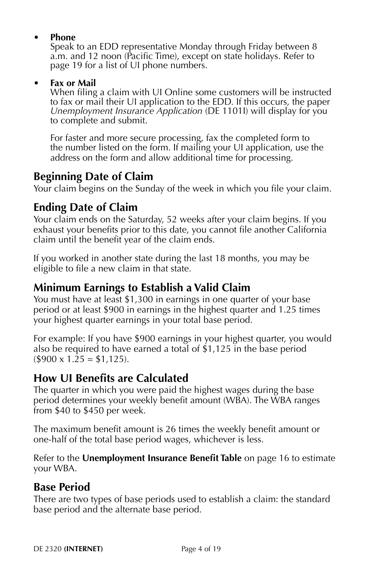#### **• Phone**

Speak to an EDD representative Monday through Friday between 8 a.m. and 12 noon (Pacific Time), except on state holidays. Refer to [page 19](#page-19-0) for a list of UI phone numbers.

#### **• Fax or Mail**

When filing a claim with UI Online some customers will be instructed to fax or mail their UI application to the EDD. If this occurs, the paper *Unemployment Insurance Application* (DE 1101I) will display for you to complete and submit.

For faster and more secure processing, fax the completed form to the number listed on the form. If mailing your UI application, use the address on the form and allow additional time for processing.

## **Beginning Date of Claim**

Your claim begins on the Sunday of the week in which you file your claim.

## **Ending Date of Claim**

Your claim ends on the Saturday, 52 weeks after your claim begins. If you exhaust your benefits prior to this date, you cannot file another California claim until the benefit year of the claim ends.

If you worked in another state during the last 18 months, you may be eligible to file a new claim in that state.

## **Minimum Earnings to Establish a Valid Claim**

You must have at least \$1,300 in earnings in one quarter of your base period or at least \$900 in earnings in the highest quarter and 1.25 times your highest quarter earnings in your total base period.

For example: If you have \$900 earnings in your highest quarter, you would also be required to have earned a total of \$1,125 in the base period  $($900 \times 1.25 = $1,125).$ 

## **How UI Benefits are Calculated**

The quarter in which you were paid the highest wages during the base period determines your weekly benefit amount (WBA). The WBA ranges from \$40 to \$450 per week.

The maximum benefit amount is 26 times the weekly benefit amount or one-half of the total base period wages, whichever is less.

Refer to the **Unemployment Insurance Benefit Table** on [page 16](#page--1-0) to estimate your WBA.

## **Base Period**

There are two types of base periods used to establish a claim: the standard base period and the alternate base period.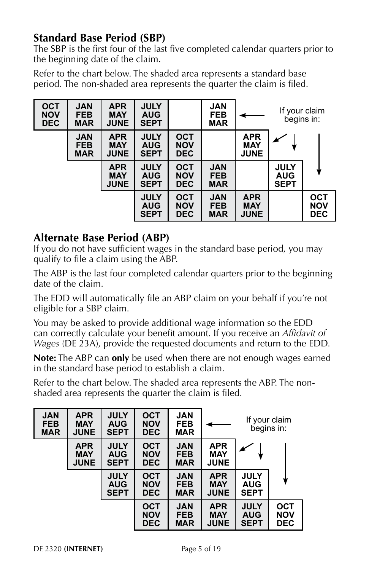## **Standard Base Period (SBP)**

The SBP is the first four of the last five completed calendar quarters prior to the beginning date of the claim.

Refer to the chart below. The shaded area represents a standard base period. The non-shaded area represents the quarter the claim is filed.

| <b>OCT</b><br><b>NOV</b><br><b>DEC</b> | <b>JAN</b><br><b>FEB</b><br><b>MAR</b> | <b>APR</b><br><b>MAY</b><br><b>JUNE</b> | <b>JULY</b><br><b>AUG</b><br><b>SEPT</b> |                                        | <b>JAN</b><br><b>FEB</b><br><b>MAR</b> |                                         | If your claim<br>begins in:              |                                        |
|----------------------------------------|----------------------------------------|-----------------------------------------|------------------------------------------|----------------------------------------|----------------------------------------|-----------------------------------------|------------------------------------------|----------------------------------------|
|                                        | <b>JAN</b><br><b>FEB</b><br><b>MAR</b> | <b>APR</b><br><b>MAY</b><br><b>JUNE</b> | <b>JULY</b><br><b>AUG</b><br><b>SEPT</b> | <b>OCT</b><br><b>NOV</b><br><b>DEC</b> |                                        | <b>APR</b><br><b>MAY</b><br><b>JUNE</b> |                                          |                                        |
|                                        |                                        | <b>APR</b><br><b>MAY</b><br><b>JUNE</b> | <b>JULY</b><br><b>AUG</b><br><b>SEPT</b> | <b>OCT</b><br><b>NOV</b><br><b>DEC</b> | <b>JAN</b><br><b>FEB</b><br><b>MAR</b> |                                         | <b>JULY</b><br><b>AUG</b><br><b>SEPT</b> |                                        |
|                                        |                                        |                                         | <b>JULY</b><br><b>AUG</b><br><b>SEPT</b> | <b>OCT</b><br><b>NOV</b><br><b>DEC</b> | <b>JAN</b><br><b>FEB</b><br><b>MAR</b> | <b>APR</b><br><b>MAY</b><br><b>JUNE</b> |                                          | <b>OCT</b><br><b>NOV</b><br><b>DEC</b> |

## **Alternate Base Period (ABP)**

If you do not have sufficient wages in the standard base period, you may qualify to file a claim using the ABP.

The ABP is the last four completed calendar quarters prior to the beginning date of the claim.

The EDD will automatically file an ABP claim on your behalf if you're not eligible for a SBP claim.

You may be asked to provide additional wage information so the EDD can correctly calculate your benefit amount. If you receive an *Affidavit of Wages* (DE 23A), provide the requested documents and return to the EDD.

**Note:** The ABP can **only** be used when there are not enough wages earned in the standard base period to establish a claim.

Refer to the chart below. The shaded area represents the ABP. The nonshaded area represents the quarter the claim is filed.

| <b>JAN</b><br><b>FEB</b><br><b>MAR</b> | <b>APR</b><br><b>MAY</b><br><b>JUNE</b> | <b>JULY</b><br><b>AUG</b><br><b>SEPT</b> | <b>OCT</b><br><b>NOV</b><br><b>DEC</b> | <b>JAN</b><br><b>FEB</b><br><b>MAR</b> |                                         |                                          | If your claim<br>begins in:            |
|----------------------------------------|-----------------------------------------|------------------------------------------|----------------------------------------|----------------------------------------|-----------------------------------------|------------------------------------------|----------------------------------------|
|                                        | <b>APR</b><br><b>MAY</b><br><b>JUNE</b> | <b>JULY</b><br><b>AUG</b><br><b>SEPT</b> | <b>OCT</b><br><b>NOV</b><br><b>DEC</b> | <b>JAN</b><br><b>FEB</b><br><b>MAR</b> | <b>APR</b><br><b>MAY</b><br><b>JUNE</b> |                                          |                                        |
|                                        |                                         | <b>JULY</b><br><b>AUG</b><br><b>SEPT</b> | <b>OCT</b><br><b>NOV</b><br><b>DEC</b> | <b>JAN</b><br><b>FEB</b><br><b>MAR</b> | <b>APR</b><br><b>MAY</b><br><b>JUNE</b> | <b>JULY</b><br><b>AUG</b><br><b>SEPT</b> |                                        |
|                                        |                                         |                                          | <b>OCT</b><br><b>NOV</b><br><b>DEC</b> | <b>JAN</b><br><b>FEB</b><br><b>MAR</b> | <b>APR</b><br><b>MAY</b><br><b>JUNE</b> | <b>JULY</b><br><b>AUG</b><br><b>SEPT</b> | <b>OCT</b><br><b>NOV</b><br><b>DEC</b> |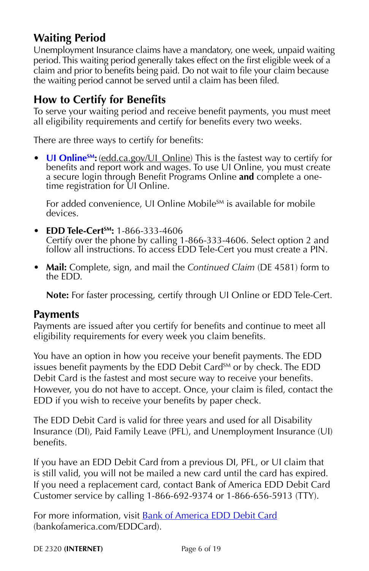## **Waiting Period**

Unemployment Insurance claims have a mandatory, one week, unpaid waiting period. This waiting period generally takes effect on the first eligible week of a claim and prior to benefits being paid. Do not wait to file your claim because the waiting period cannot be served until a claim has been filed.

## **How to Certify for Benefits**

To serve your waiting period and receive benefit payments, you must meet all eligibility requirements and certify for benefits every two weeks.

There are three ways to certify for benefits:

• **UI Online<sup>SM</sup>:** [\(edd.ca.gov/UI\\_Online\)](http://edd.ca.gov/UI_Online) This is the fastest way to certify for benefits and report work and wages. To use UI Online, you must create a secure login through Benefit Programs Online **and** complete a onetime registration for UI Online.

For added convenience, UI Online Mobile<sup>SM</sup> is available for mobile devices.

- **EDD Tele-CertSM:** 1-866-333-4606 Certify over the phone by calling 1-866-333-4606. Select option 2 and follow all instructions. To access EDD Tele-Cert you must create a PIN.
- **Mail:** Complete, sign, and mail the *Continued Claim* (DE 4581) form to the EDD.

**Note:** For faster processing, certify through UI Online or EDD Tele-Cert.

#### **Payments**

Payments are issued after you certify for benefits and continue to meet all eligibility requirements for every week you claim benefits.

You have an option in how you receive your benefit payments. The EDD issues benefit payments by the EDD Debit Card<sup>SM</sup> or by check. The EDD Debit Card is the fastest and most secure way to receive your benefits. However, you do not have to accept. Once, your claim is filed, contact the EDD if you wish to receive your benefits by paper check.

The EDD Debit Card is valid for three years and used for all Disability Insurance (DI), Paid Family Leave (PFL), and Unemployment Insurance (UI) benefits.

If you have an EDD Debit Card from a previous DI, PFL, or UI claim that is still valid, you will not be mailed a new card until the card has expired. If you need a replacement card, contact Bank of America EDD Debit Card Customer service by calling 1-866-692-9374 or 1-866-656-5913 (TTY).

For more information, visit **[Bank of America EDD Debit Card](http://bankofamerica.com/EDDCard)** (bankofamerica.com/EDDCard).

DE 2320 **(INTERNET)** Page 6 of 19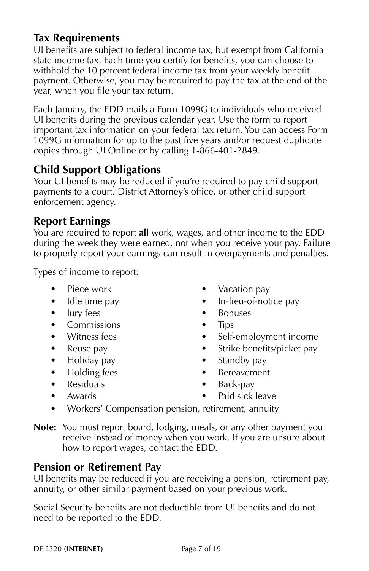## **Tax Requirements**

UI benefits are subject to federal income tax, but exempt from California state income tax. Each time you certify for benefits, you can choose to withhold the 10 percent federal income tax from your weekly benefit payment. Otherwise, you may be required to pay the tax at the end of the year, when you file your tax return.

Each January, the EDD mails a Form 1099G to individuals who received UI benefits during the previous calendar year. Use the form to report important tax information on your federal tax return. You can access Form 1099G information for up to the past five years and/or request duplicate copies through UI Online or by calling 1-866-401-2849.

## **Child Support Obligations**

Your UI benefits may be reduced if you're required to pay child support payments to a court, District Attorney's office, or other child support enforcement agency.

## **Report Earnings**

You are required to report **all** work, wages, and other income to the EDD during the week they were earned, not when you receive your pay. Failure to properly report your earnings can result in overpayments and penalties.

Types of income to report:

- Piece work
- Idle time pay
- Jury fees
- Commissions
- Witness fees
- Reuse pay
- Holiday pay
- Holding fees
- Residuals • Awards
- Vacation pay • In-lieu-of-notice pay
- Bonuses
- Tips
- Self-employment income
- Strike benefits/picket pay
- Standby pay
- Bereavement
- Back-pay
- Paid sick leave
- Workers' Compensation pension, retirement, annuity

**Note:** You must report board, lodging, meals, or any other payment you receive instead of money when you work. If you are unsure about how to report wages, contact the EDD.

## **Pension or Retirement Pay**

UI benefits may be reduced if you are receiving a pension, retirement pay, annuity, or other similar payment based on your previous work.

Social Security benefits are not deductible from UI benefits and do not need to be reported to the EDD.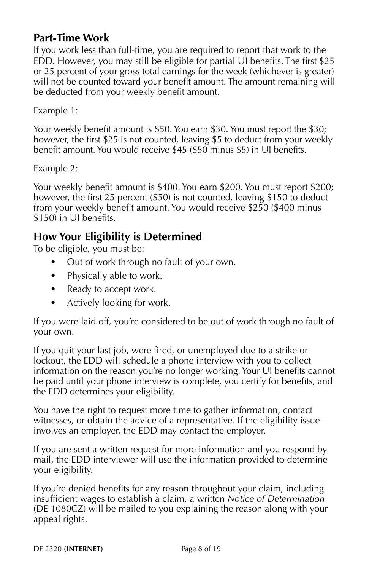## **Part-Time Work**

If you work less than full-time, you are required to report that work to the EDD. However, you may still be eligible for partial UI benefits. The first \$25 or 25 percent of your gross total earnings for the week (whichever is greater) will not be counted toward your benefit amount. The amount remaining will be deducted from your weekly benefit amount.

Example 1:

Your weekly benefit amount is \$50. You earn \$30. You must report the \$30; however, the first \$25 is not counted, leaving \$5 to deduct from your weekly benefit amount. You would receive \$45 (\$50 minus \$5) in UI benefits.

Example 2:

Your weekly benefit amount is \$400. You earn \$200. You must report \$200; however, the first 25 percent (\$50) is not counted, leaving \$150 to deduct from your weekly benefit amount. You would receive \$250 (\$400 minus \$150) in UI benefits.

## **How Your Eligibility is Determined**

To be eligible, you must be:

- Out of work through no fault of your own.
- Physically able to work.
- Ready to accept work.
- Actively looking for work.

If you were laid off, you're considered to be out of work through no fault of your own.

If you quit your last job, were fired, or unemployed due to a strike or lockout, the EDD will schedule a phone interview with you to collect information on the reason you're no longer working. Your UI benefits cannot be paid until your phone interview is complete, you certify for benefits, and the EDD determines your eligibility.

You have the right to request more time to gather information, contact witnesses, or obtain the advice of a representative. If the eligibility issue involves an employer, the EDD may contact the employer.

If you are sent a written request for more information and you respond by mail, the EDD interviewer will use the information provided to determine your eligibility.

If you're denied benefits for any reason throughout your claim, including insufficient wages to establish a claim, a written *Notice of Determination* (DE 1080CZ) will be mailed to you explaining the reason along with your appeal rights.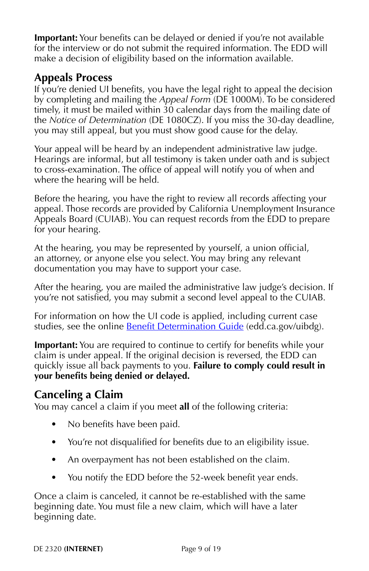**Important:** Your benefits can be delayed or denied if you're not available for the interview or do not submit the required information. The EDD will make a decision of eligibility based on the information available.

## **Appeals Process**

If you're denied UI benefits, you have the legal right to appeal the decision by completing and mailing the *Appeal Form* (DE 1000M). To be considered timely, it must be mailed within 30 calendar days from the mailing date of the *Notice of Determination* (DE 1080CZ). If you miss the 30-day deadline, you may still appeal, but you must show good cause for the delay.

Your appeal will be heard by an independent administrative law judge. Hearings are informal, but all testimony is taken under oath and is subject to cross-examination. The office of appeal will notify you of when and where the hearing will be held.

Before the hearing, you have the right to review all records affecting your appeal. Those records are provided by California Unemployment Insurance Appeals Board (CUIAB). You can request records from the EDD to prepare for your hearing.

At the hearing, you may be represented by yourself, a union official, an attorney, or anyone else you select. You may bring any relevant documentation you may have to support your case.

After the hearing, you are mailed the administrative law judge's decision. If you're not satisfied, you may submit a second level appeal to the CUIAB.

For information on how the UI code is applied, including current case studies, see the online **Benefit Determination Guide** (edd.ca.gov/uibdg).

**Important:** You are required to continue to certify for benefits while your claim is under appeal. If the original decision is reversed, the EDD can quickly issue all back payments to you. **Failure to comply could result in your benefits being denied or delayed.**

## **Canceling a Claim**

You may cancel a claim if you meet **all** of the following criteria:

- No benefits have been paid.
- You're not disqualified for benefits due to an eligibility issue.
- An overpayment has not been established on the claim.
- You notify the EDD before the 52-week benefit year ends.

Once a claim is canceled, it cannot be re-established with the same beginning date. You must file a new claim, which will have a later beginning date.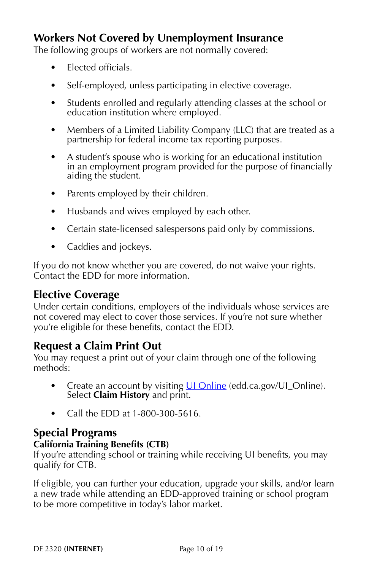## **Workers Not Covered by Unemployment Insurance**

The following groups of workers are not normally covered:

- Elected officials.
- Self-employed, unless participating in elective coverage.
- Students enrolled and regularly attending classes at the school or education institution where employed.
- Members of a Limited Liability Company (LLC) that are treated as a partnership for federal income tax reporting purposes.
- A student's spouse who is working for an educational institution in an employment program provided for the purpose of financially aiding the student.
- Parents employed by their children.
- Husbands and wives employed by each other.
- Certain state-licensed salespersons paid only by commissions.
- Caddies and jockeys.

If you do not know whether you are covered, do not waive your rights. Contact the EDD for more information.

## **Elective Coverage**

Under certain conditions, employers of the individuals whose services are not covered may elect to cover those services. If you're not sure whether you're eligible for these benefits, contact the EDD.

## **Request a Claim Print Out**

You may request a print out of your claim through one of the following methods:

- Create an account by visiting *UI Online* (edd.ca.gov/UI\_Online). Select **Claim History** and print.
- Call the EDD at 1-800-300-5616.

#### **Special Programs**

#### **California Training Benefits (CTB)**

If you're attending school or training while receiving UI benefits, you may qualify for CTB.

If eligible, you can further your education, upgrade your skills, and/or learn a new trade while attending an EDD-approved training or school program to be more competitive in today's labor market.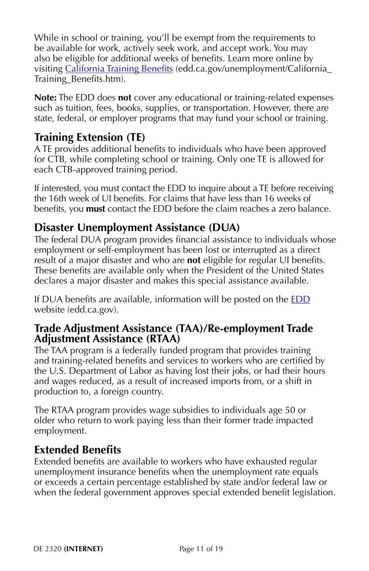While in school or training, you'll be exempt from the requirements to be available for work, actively seek work, and accept work. You may also be eligible for additional weeks of benefits. Learn more online by visiting [California Training Benefits](https://edd.ca.gov/unemployment/California_Training_Benefits.htm) (edd.ca.gov/unemployment/California Training\_Benefits.htm).

**Note:** The EDD does **not** cover any educational or training-related expenses such as tuition, fees, books, supplies, or transportation. However, there are state, federal, or employer programs that may fund your school or training.

## **Training Extension (TE)**

A TE provides additional benefits to individuals who have been approved for CTB, while completing school or training. Only one TE is allowed for each CTB-approved training period.

If interested, you must contact the EDD to inquire about a TE before receiving the 16th week of UI benefits. For claims that have less than 16 weeks of benefits, you **must** contact the EDD before the claim reaches a zero balance.

## **Disaster Unemployment Assistance (DUA)**

The federal DUA program provides financial assistance to individuals whose employment or self-employment has been lost or interrupted as a direct result of a major disaster and who are **not** eligible for regular UI benefits. These benefits are available only when the President of the United States declares a major disaster and makes this special assistance available.

If DUA benefits are available, information will be posted on the [EDD](https://edd.ca.gov/) website (edd.ca.gov).

#### **Trade Adjustment Assistance (TAA)/Re-employment Trade Adjustment Assistance (RTAA)**

The TAA program is a federally funded program that provides training and training-related benefits and services to workers who are certified by the U.S. Department of Labor as having lost their jobs, or had their hours and wages reduced, as a result of increased imports from, or a shift in production to, a foreign country.

The RTAA program provides wage subsidies to individuals age 50 or older who return to work paying less than their former trade impacted employment.

#### **Extended Benefits**

Extended benefits are available to workers who have exhausted regular unemployment insurance benefits when the unemployment rate equals or exceeds a certain percentage established by state and/or federal law or when the federal government approves special extended benefit legislation.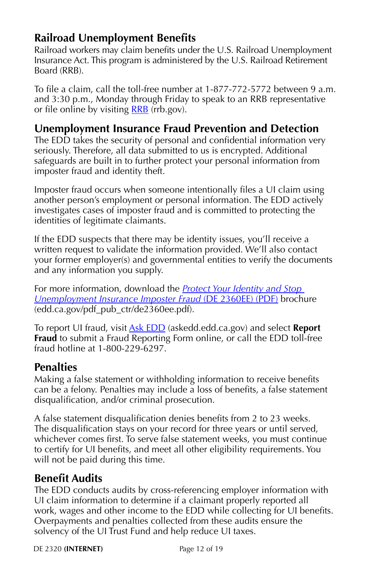## <span id="page-12-0"></span>**Railroad Unemployment Benefits**

Railroad workers may claim benefits under the U.S. Railroad Unemployment Insurance Act. This program is administered by the U.S. Railroad Retirement Board (RRB).

To file a claim, call the toll-free number at 1-877-772-5772 between 9 a.m. and 3:30 p.m., Monday through Friday to speak to an RRB representative or file online by visiting **[RRB](https://rrb.gov/)** (rrb.gov).

## **Unemployment Insurance Fraud Prevention and Detection**

The EDD takes the security of personal and confidential information very seriously. Therefore, all data submitted to us is encrypted. Additional safeguards are built in to further protect your personal information from imposter fraud and identity theft.

Imposter fraud occurs when someone intentionally files a UI claim using another person's employment or personal information. The EDD actively investigates cases of imposter fraud and is committed to protecting the identities of legitimate claimants.

If the EDD suspects that there may be identity issues, you'll receive a written request to validate the information provided. We'll also contact your former employer(s) and governmental entities to verify the documents and any information you supply.

For more information, download the *[Protect Your Identity and Stop](https://edd.ca.gov/pdf_pub_ctr/de2360ee.pdf)  [Unemployment Insurance Imposter Fraud](https://edd.ca.gov/pdf_pub_ctr/de2360ee.pdf)* (DE 2360EE) (PDF) brochure (edd.ca.gov/pdf\_pub\_ctr/de2360ee.pdf).

To report UI fraud, visit [Ask EDD](https://askedd.edd.ca.gov/) (askedd.edd.ca.gov) and select **Report Fraud** to submit a Fraud Reporting Form online, or call the EDD toll-free fraud hotline at 1-800-229-6297.

## **Penalties**

Making a false statement or withholding information to receive benefits can be a felony. Penalties may include a loss of benefits, a false statement disqualification, and/or criminal prosecution.

A false statement disqualification denies benefits from 2 to 23 weeks. The disqualification stays on your record for three years or until served, whichever comes first. To serve false statement weeks, you must continue to certify for UI benefits, and meet all other eligibility requirements. You will not be paid during this time.

## **Benefit Audits**

The EDD conducts audits by cross-referencing employer information with UI claim information to determine if a claimant properly reported all work, wages and other income to the EDD while collecting for UI benefits. Overpayments and penalties collected from these audits ensure the solvency of the UI Trust Fund and help reduce UI taxes.

DE 2320 **(INTERNET)** Page 12 of 19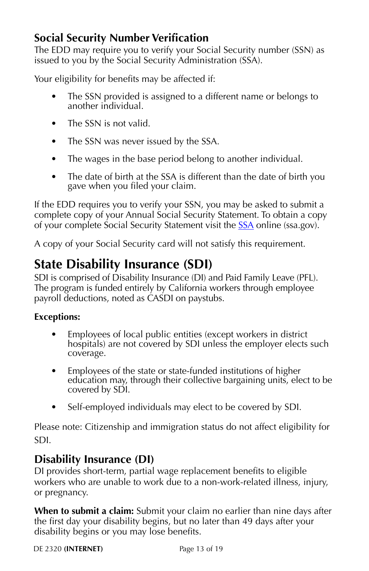## <span id="page-13-0"></span>**Social Security Number Verification**

The EDD may require you to verify your Social Security number (SSN) as issued to you by the Social Security Administration (SSA).

Your eligibility for benefits may be affected if:

- The SSN provided is assigned to a different name or belongs to another individual.
- The SSN is not valid.
- The SSN was never issued by the SSA.
- The wages in the base period belong to another individual.
- The date of birth at the SSA is different than the date of birth you gave when you filed your claim.

If the EDD requires you to verify your SSN, you may be asked to submit a complete copy of your Annual Social Security Statement. To obtain a copy of your complete Social Security Statement visit the **SSA** online (ssa.gov).

A copy of your Social Security card will not satisfy this requirement.

## **State Disability Insurance (SDI)**

SDI is comprised of Disability Insurance (DI) and Paid Family Leave (PFL). The program is funded entirely by California workers through employee payroll deductions, noted as CASDI on paystubs.

#### **Exceptions:**

- Employees of local public entities (except workers in district hospitals) are not covered by SDI unless the employer elects such coverage.
- Employees of the state or state-funded institutions of higher education may, through their collective bargaining units, elect to be covered by SDI.
- Self-employed individuals may elect to be covered by SDI.

Please note: Citizenship and immigration status do not affect eligibility for SDI.

## **Disability Insurance (DI)**

DI provides short-term, partial wage replacement benefits to eligible workers who are unable to work due to a non-work-related illness, injury, or pregnancy.

**When to submit a claim:** Submit your claim no earlier than nine days after the first day your disability begins, but no later than 49 days after your disability begins or you may lose benefits.

DE 2320 **(INTERNET)** Page 13 of 19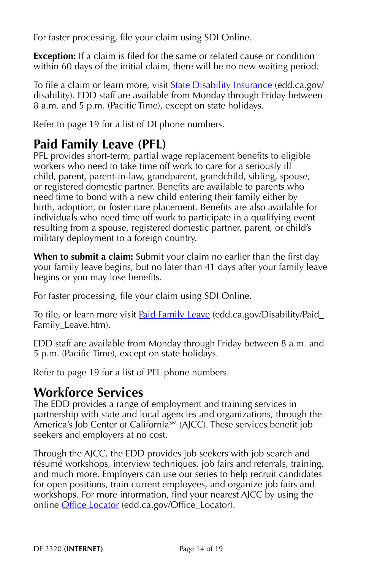<span id="page-14-0"></span>For faster processing, file your claim using SDI Online.

**Exception:** If a claim is filed for the same or related cause or condition within 60 days of the initial claim, there will be no new waiting period.

To file a claim or learn more, visit **State Disability Insurance** (edd.ca.gov/ disability). EDD staff are available from Monday through Friday between 8 a.m. and 5 p.m. (Pacific Time), except on state holidays.

Refer to [page 19](#page-19-0) for a list of DI phone numbers.

## **Paid Family Leave (PFL)**

PFL provides short-term, partial wage replacement benefits to eligible workers who need to take time off work to care for a seriously ill child, parent, parent-in-law, grandparent, grandchild, sibling, spouse, or registered domestic partner. Benefits are available to parents who need time to bond with a new child entering their family either by birth, adoption, or foster care placement. Benefits are also available for individuals who need time off work to participate in a qualifying event resulting from a spouse, registered domestic partner, parent, or child's military deployment to a foreign country.

**When to submit a claim:** Submit your claim no earlier than the first day your family leave begins, but no later than 41 days after your family leave begins or you may lose benefits.

For faster processing, file your claim using SDI Online.

To file, or learn more visit [Paid Family Leave](https://edd.ca.gov/Disability/Paid_Family_Leave.htm) (edd.ca.gov/Disability/Paid\_ Family Leave.htm).

EDD staff are available from Monday through Friday between 8 a.m. and 5 p.m. (Pacific Time), except on state holidays.

Refer to [page 19](#page-19-0) for a list of PFL phone numbers.

## **Workforce Services**

The EDD provides a range of employment and training services in partnership with state and local agencies and organizations, through the America's Job Center of California<sup>SM</sup> (AJCC). These services benefit job seekers and employers at no cost.

Through the AJCC, the EDD provides job seekers with job search and résumé workshops, interview techniques, job fairs and referrals, training, and much more. Employers can use our series to help recruit candidates for open positions, train current employees, and organize job fairs and workshops. For more information, find your nearest AJCC by using the online *Office Locator* (edd.ca.gov/Office\_Locator).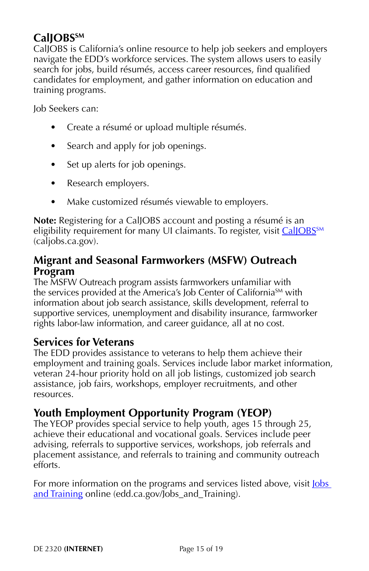## **CalJOBS**SM

CalJOBS is California's online resource to help job seekers and employers navigate the EDD's workforce services. The system allows users to easily search for jobs, build résumés, access career resources, find qualified candidates for employment, and gather information on education and training programs.

Job Seekers can:

- Create a résumé or upload multiple résumés.
- Search and apply for job openings.
- Set up alerts for job openings.
- Research employers.
- Make customized résumés viewable to employers.

**Note:** Registering for a CalJOBS account and posting a résumé is an eligibility requirement for many UI claimants. To register, visit CalJOBS<sup>SM</sup> (caljobs.ca.gov).

#### **Migrant and Seasonal Farmworkers (MSFW) Outreach Program**

The MSFW Outreach program assists farmworkers unfamiliar with the services provided at the America's Job Center of California<sup>SM</sup> with information about job search assistance, skills development, referral to supportive services, unemployment and disability insurance, farmworker rights labor-law information, and career guidance, all at no cost.

## **Services for Veterans**

The EDD provides assistance to veterans to help them achieve their employment and training goals. Services include labor market information, veteran 24-hour priority hold on all job listings, customized job search assistance, job fairs, workshops, employer recruitments, and other resources.

## **Youth Employment Opportunity Program (YEOP)**

The YEOP provides special service to help youth, ages 15 through 25, achieve their educational and vocational goals. Services include peer advising, referrals to supportive services, workshops, job referrals and placement assistance, and referrals to training and community outreach efforts.

For more information on the programs and services listed above, visit <u>Jobs</u> [and Training](https://edd.ca.gov/Jobs_and_Training/) online (edd.ca.gov/Jobs\_and\_Training).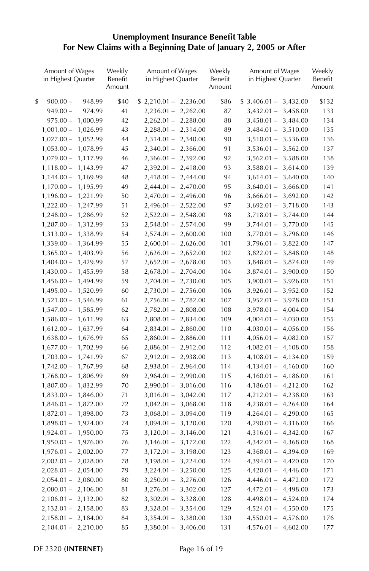# **Unemployment Insurance Benefit Table For New Claims with a Beginning Date of January 2, 2005 or After**

| Amount of Wages<br>in Highest Quarter | Weekly<br>Benefit<br>Amount | Amount of Wages<br>in Highest Quarter | Weekly<br>Benefit<br>Amount | Amount of Wages<br>in Highest Quarter | Weekly<br>Benefit<br>Amount |
|---------------------------------------|-----------------------------|---------------------------------------|-----------------------------|---------------------------------------|-----------------------------|
| \$<br>$900.00 -$<br>948.99            | \$40                        | $$2,210.01 - 2,236.00$                | \$86                        | $$3,406.01 - 3,432.00$                | \$132                       |
| $949.00 -$<br>974.99                  | 41                          | $2,236.01 - 2,262.00$                 | 87                          | $3,432.01 -$<br>3,458.00              | 133                         |
| 1,000.99<br>$975.00 -$                | 42                          | $2,262.01 - 2,288.00$                 | 88                          | 3,484.00<br>$3,458.01 -$              | 134                         |
| $1,001.00 -$<br>1,026.99              | 43                          | $2,288.01 - 2,314.00$                 | 89                          | $3,484.01 -$<br>3,510.00              | 135                         |
| $1,027.00 -$<br>1,052.99              | 44                          | $2,314.01 - 2,340.00$                 | 90                          | 3,536.00<br>$3,510.01 -$              | 136                         |
| $1,053.00 -$<br>1,078.99              | 45                          | $2,340.01 - 2,366.00$                 | 91                          | 3,562.00<br>$3,536.01 -$              | 137                         |
| $1,079.00 -$<br>1,117.99              | 46                          | $2,366.01 - 2,392.00$                 | 92                          | $3,562.01 -$<br>3,588.00              | 138                         |
| $1,118.00 -$<br>1,143.99              | 47                          | $2,392.01 - 2,418.00$                 | 93                          | $3,588.01 -$<br>3,614.00              | 139                         |
| $1,144.00 -$<br>1,169.99              | 48                          | $2,418.01 - 2,444.00$                 | 94                          | $3,614.01 -$<br>3,640.00              | 140                         |
| $1,170.00 -$<br>1,195.99              | 49                          | $2,444.01 - 2,470.00$                 | 95                          | $3,640.01 -$<br>3,666.00              | 141                         |
| $1,196.00 -$<br>1,221.99              | 50                          | $2,470.01 - 2,496.00$                 | 96                          | $3,666.01 -$<br>3,692.00              | 142                         |
| $1,222.00 -$<br>1,247.99              | 51                          | $2,496.01 - 2,522.00$                 | 97                          | $3,692.01 -$<br>3,718.00              | 143                         |
| $1,248.00 -$<br>1,286.99              | 52                          | $2,522.01 - 2,548.00$                 | 98                          | 3,744.00<br>$3,718.01 -$              | 144                         |
| $1,287.00 -$<br>1,312.99              | 53                          | $2,548.01 - 2,574.00$                 | 99                          | $3,744.01 -$<br>3,770.00              | 145                         |
| $1,313.00 -$<br>1,338.99              | 54                          | $2,574.01 - 2,600.00$                 | 100                         | $3,770.01 -$<br>3,796.00              | 146                         |
| $1,339.00 -$<br>1,364.99              | 55                          | $2,600.01 - 2,626.00$                 | 101                         | 3,822.00<br>$3,796.01 -$              | 147                         |
| $1,365.00 -$<br>1,403.99              | 56                          | $2,626.01 - 2,652.00$                 | 102                         | $3,822.01 -$<br>3,848.00              | 148                         |
| $1,404.00 -$<br>1,429.99              | 57                          | $2,652.01 - 2,678.00$                 | 103                         | 3,874.00<br>$3,848.01 -$              | 149                         |
| $1,430.00 -$<br>1,455.99              | 58                          | $2,678.01 - 2,704.00$                 | 104                         | 3,900.00<br>$3,874.01 -$              | 150                         |
| $1,456.00 -$<br>1,494.99              | 59                          | $2,704.01 - 2,730.00$                 | 105                         | 3,926.00<br>$3,900.01 -$              | 151                         |
| $1,495.00 -$<br>1,520.99              | 60                          | $2,730.01 - 2,756.00$                 | 106                         | $3,926.01 -$<br>3,952.00              | 152                         |
| $1,521.00 -$<br>1,546.99              | 61                          | $2,756.01 - 2,782.00$                 | 107                         | 3,978.00<br>$3,952.01 -$              | 153                         |
| $1,547.00 -$<br>1,585.99              | 62                          | $2,782.01 - 2,808.00$                 | 108                         | $3,978.01 -$<br>4,004.00              | 154                         |
| $1,586.00 -$<br>1,611.99              | 63                          | $2,808.01 - 2,834.00$                 | 109                         | $4,004.01 -$<br>4,030.00              | 155                         |
| $1,612.00 -$<br>1,637.99              | 64                          | $2,834.01 - 2,860.00$                 | 110                         | 4,056.00<br>4,030.01 –                | 156                         |
| $1,638.00 -$<br>1,676.99              | 65                          | $2,860.01 - 2,886.00$                 | 111                         | 4,082.00<br>$4,056.01 -$              | 157                         |
| $1,677.00 -$<br>1,702.99              | 66                          | $2,886.01 - 2,912.00$                 | 112                         | 4,108.00<br>$4,082.01 -$              | 158                         |
| $1,703.00 -$<br>1,741.99              | 67                          | $2,912.01 - 2,938.00$                 | 113                         | $4,108.01 -$<br>4,134.00              | 159                         |
| $1,742.00 -$<br>1,767.99              | 68                          | $2,938.01 - 2,964.00$                 | 114                         | 4,160.00<br>$4,134.01 -$              | 160                         |
| $1,768.00 -$<br>1,806.99              | 69                          | $2,964.01 -$<br>2,990.00              | 115                         | $4,160.01 -$<br>4,186.00              | 161                         |
| $1,807.00 -$<br>1,832.99              | 70                          | $2,990.01 - 3,016.00$                 | 116                         | $4,186.01 -$<br>4,212.00              | 162                         |
| $1,833.00 -$<br>1,846.00              | 71                          | $3,016.01 - 3,042.00$                 | 117                         | 4,238.00<br>$4,212.01 -$              | 163                         |
| $1,846.01 -$<br>1,872.00              | 72                          | $3,042.01 - 3,068.00$                 | 118                         | 4,264.00<br>$4,238.01 -$              | 164                         |
| $1,872.01 -$<br>1,898.00              | 73                          | $3,068.01 - 3,094.00$                 | 119                         | $4,264.01 -$<br>4,290.00              | 165                         |
| 1,924.00<br>$1,898.01 -$              | 74                          | $3,094.01 - 3,120.00$                 | 120                         | $4,290.01 -$<br>4,316.00              | 166                         |
| $1,924.01 -$<br>1,950.00              | 75                          | $3,120.01 - 3,146.00$                 | 121                         | 4,342.00<br>$4,316.01 -$              | 167                         |
| $1,950.01 -$<br>1,976.00              | 76                          | $3,146.01 - 3,172.00$                 | 122                         | $4,342.01 -$<br>4,368.00              | 168                         |
| 2,002.00<br>$1,976.01 -$              | 77                          | $3,172.01 - 3,198.00$                 | 123                         | $4,368.01 -$<br>4,394.00              | 169                         |
| $2,002.01 -$<br>2,028.00              | 78                          | $3,198.01 - 3,224.00$                 | 124                         | 4,420.00<br>$4,394.01 -$              | 170                         |
| $2,028.01 -$<br>2,054.00              | 79                          | $3,224.01 - 3,250.00$                 | 125                         | $4,420.01 - 4,446.00$                 | 171                         |
| $2,054.01 -$<br>2,080.00              | 80                          | $3,250.01 - 3,276.00$                 | 126                         | $4,446.01 -$<br>4,472.00              | 172                         |
| $2,080.01 -$<br>2,106.00              | 81                          | $3,276.01 - 3,302.00$                 | 127                         | 4,498.00<br>4,472.01 –                | 173                         |
| $2,106.01 -$<br>2,132.00              | 82                          | $3,302.01 - 3,328.00$                 | 128                         | 4,524.00<br>$4,498.01 -$              | 174                         |
| $2,132.01 - 2,158.00$                 | 83                          | $3,328.01 - 3,354.00$                 | 129                         | $4,524.01 -$<br>4,550.00              | 175                         |
| $2,158.01 - 2,184.00$                 | 84                          | $3,354.01 - 3,380.00$                 | 130                         | $4,550.01 -$<br>4,576.00              | 176                         |
| $2,184.01 - 2,210.00$                 | 85                          | $3,380.01 - 3,406.00$                 | 131                         | $4,576.01 - 4,602.00$                 | 177                         |

DE 2320 **(INTERNET)** Page 16 of 19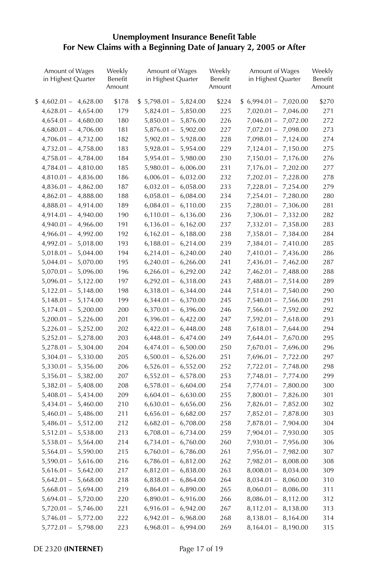# **Unemployment Insurance Benefit Table For New Claims with a Beginning Date of January 2, 2005 or After**

| Amount of Wages<br>in Highest Quarter | Weekly<br>Benefit<br>Amount | Amount of Wages<br>in Highest Quarter | Weekly<br>Benefit<br>Amount | Amount of Wages<br>in Highest Quarter | Weekly<br>Benefit<br>Amount |
|---------------------------------------|-----------------------------|---------------------------------------|-----------------------------|---------------------------------------|-----------------------------|
| $$4,602.01-$<br>4,628.00              | \$178                       | $$5,798.01 - 5,824.00$                | \$224                       | $$6,994.01-$<br>7,020.00              | \$270                       |
| $4,628.01 -$<br>4,654.00              | 179                         | $5,824.01 -$<br>5,850.00              | 225                         | $7,020.01 -$<br>7,046.00              | 271                         |
| $4,654.01 -$<br>4,680.00              | 180                         | $5,850.01 -$<br>5,876.00              | 226                         | 7,072.00<br>$7,046.01 -$              | 272                         |
| $4,680.01 -$<br>4,706.00              | 181                         | $5,876.01 - 5,902.00$                 | 227                         | $7,072.01 -$<br>7,098.00              | 273                         |
| $4,706.01 -$<br>4,732.00              | 182                         | $5,902.01 - 5,928.00$                 | 228                         | $7,098.01 -$<br>7,124.00              | 274                         |
| $4,732.01 -$<br>4,758.00              | 183                         | $5,928.01 - 5,954.00$                 | 229                         | $7,124.01 -$<br>7,150.00              | 275                         |
| $4,758.01 -$<br>4,784.00              | 184                         | $5,954.01 -$<br>5,980.00              | 230                         | $7,150.01 -$<br>7,176.00              | 276                         |
| $4,784.01 -$<br>4,810.00              | 185                         | $5,980.01 - 6,006.00$                 | 231                         | 7,202.00<br>$7,176.01 -$              | 277                         |
| $4,810.01 -$<br>4,836.00              | 186                         | $6,006.01 -$<br>6,032.00              | 232                         | 7,228.00<br>$7,202.01 -$              | 278                         |
| $4,836.01 -$<br>4,862.00              | 187                         | $6,032.01 -$<br>6,058.00              | 233                         | 7,254.00<br>$7,228.01 -$              | 279                         |
| $4,862.01 -$<br>4,888.00              | 188                         | $6,058.01 -$<br>6,084.00              | 234                         | $7,254.01 -$<br>7,280.00              | 280                         |
| 4,914.00<br>$4,888.01 -$              | 189                         | $6,084.01 - 6,110.00$                 | 235                         | $7,280.01 -$<br>7,306.00              | 281                         |
| $4,914.01 -$<br>4,940.00              | 190                         | $6,110.01 -$<br>6,136.00              | 236                         | $7,306.01 -$<br>7,332.00              | 282                         |
| $4,940.01 -$<br>4,966.00              | 191                         | $6,136.01 -$<br>6,162.00              | 237                         | $7,332.01 -$<br>7,358.00              | 283                         |
| $4,966.01 -$<br>4,992.00              | 192                         | $6,162.01 - 6,188.00$                 | 238                         | 7,384.00<br>$7,358.01 -$              | 284                         |
| 5,018.00<br>$4,992.01 -$              | 193                         | $6,188.01 - 6,214.00$                 | 239                         | $7,384.01 -$<br>7,410.00              | 285                         |
| $5,018.01 -$<br>5,044.00              | 194                         | $6,214.01 - 6,240.00$                 | 240                         | $7,410.01 -$<br>7,436.00              | 286                         |
| $5,044.01 -$<br>5,070.00              | 195                         | 6,266.00<br>$6,240.01 -$              | 241                         | $7,436.01 -$<br>7,462.00              | 287                         |
| $5,070.01 -$<br>5,096.00              | 196                         | $6,266.01 - 6,292.00$                 | 242                         | $7,462.01 -$<br>7,488.00              | 288                         |
| $5,096.01 -$<br>5,122.00              | 197                         | $6,292.01 - 6,318.00$                 | 243                         | $7,488.01 -$<br>7,514.00              | 289                         |
| $5,122.01 -$<br>5,148.00              | 198                         | $6,318.01 - 6,344.00$                 | 244                         | $7,514.01 -$<br>7,540.00              | 290                         |
| $5,148.01 -$<br>5,174.00              | 199                         | 6,370.00<br>$6,344.01 -$              | 245                         | 7,566.00<br>$7,540.01 -$              | 291                         |
| $5,174.01 -$<br>5,200.00              | 200                         | $6,370.01 - 6,396.00$                 | 246                         | $7,566.01 -$<br>7,592.00              | 292                         |
| $5,200.01 -$<br>5,226.00              | 201                         | $6,396.01 - 6,422.00$                 | 247                         | $7,592.01 -$<br>7,618.00              | 293                         |
| 5,252.00<br>$5,226.01 -$              | 202                         | $6,422.01 - 6,448.00$                 | 248                         | $7,618.01 -$<br>7,644.00              | 294                         |
| $5,252.01 -$<br>5,278.00              | 203                         | $6,448.01 -$<br>6,474.00              | 249                         | $7,644.01 -$<br>7,670.00              | 295                         |
| $5,278.01 -$<br>5,304.00              | 204                         | $6,474.01 - 6,500.00$                 | 250                         | $7,670.01 -$<br>7,696.00              | 296                         |
| 5,330.00<br>$5,304.01 -$              | 205                         | $6,500.01 -$<br>6,526.00              | 251                         | $7,696.01 -$<br>7,722.00              | 297                         |
| $5,330.01 -$<br>5,356.00              | 206                         | $6,526.01 - 6,552.00$                 | 252                         | $7,722.01 -$<br>7,748.00              | 298                         |
| $5,356.01 -$<br>5,382.00              | 207                         | $6,552.01 -$<br>6,578.00              | 253                         | 7,774.00<br>$7,748.01 -$              | 299                         |
| $5,382.01 -$<br>5,408.00              | 208                         | $6,578.01 -$<br>6,604.00              | 254                         | $7,774.01 -$<br>7,800.00              | 300                         |
| $5,408.01 -$<br>5,434.00              | 209                         | 6,630.00<br>$6,604.01 -$              | 255                         | 7,826.00<br>$7,800.01 -$              | 301                         |
| $5,434.01 -$<br>5,460.00              | 210                         | $6,630.01 - 6,656.00$                 | 256                         | $7,826.01 -$<br>7,852.00              | 302                         |
| $5,460.01 -$<br>5,486.00              | 211                         | $6,656.01 -$<br>6,682.00              | 257                         | $7,852.01 -$<br>7,878.00              | 303                         |
| 5,512.00<br>$5,486.01 -$              | 212                         | $6,682.01 -$<br>6,708.00              | 258                         | 7,904.00<br>$7,878.01 -$              | 304                         |
| $5,512.01 -$<br>5,538.00              | 213                         | $6,708.01 - 6,734.00$                 | 259                         | 7,930.00<br>$7,904.01 -$              | 305                         |
| $5,538.01 -$<br>5,564.00              | 214                         | $6,734.01 - 6,760.00$                 | 260                         | $7,930.01 -$<br>7,956.00              | 306                         |
| 5,590.00<br>$5,564.01 -$              | 215                         | $6,760.01 - 6,786.00$                 | 261                         | 7,982.00<br>$7,956.01 -$              | 307                         |
| $5,590.01 -$<br>5,616.00              | 216                         | $6,786.01 - 6,812.00$                 | 262                         | 8,008.00<br>$7,982.01 -$              | 308                         |
| $5,616.01 -$<br>5,642.00              | 217                         | $6,812.01 - 6,838.00$                 | 263                         | $8,008.01 -$<br>8,034.00              | 309                         |
| $5,642.01 -$<br>5,668.00              | 218                         | $6,838.01 - 6,864.00$                 | 264                         | $8,034.01 -$<br>8,060.00              | 310                         |
| $5,668.01 -$<br>5,694.00              | 219                         | 6,890.00<br>$6,864.01 -$              | 265                         | 8,086.00<br>$8,060.01 -$              | 311                         |
| $5,694.01 -$<br>5,720.00              | 220                         | $6,890.01 -$<br>6,916.00              | 266                         | $8,086.01 -$<br>8,112.00              | 312                         |
| $5,720.01 -$<br>5,746.00              | 221                         | $6,916.01 - 6,942.00$                 | 267                         | $8,112.01 -$<br>8,138.00              | 313                         |
| 5,772.00<br>$5,746.01 -$              | 222                         | $6,942.01 - 6,968.00$                 | 268                         | $8,138.01 -$<br>8,164.00              | 314                         |
| $5,772.01 -$<br>5,798.00              | 223                         | 6,968.01 - 6,994.00                   | 269                         | 8,190.00<br>$8,164.01 -$              | 315                         |

DE 2320 **(INTERNET)** Page 17 of 19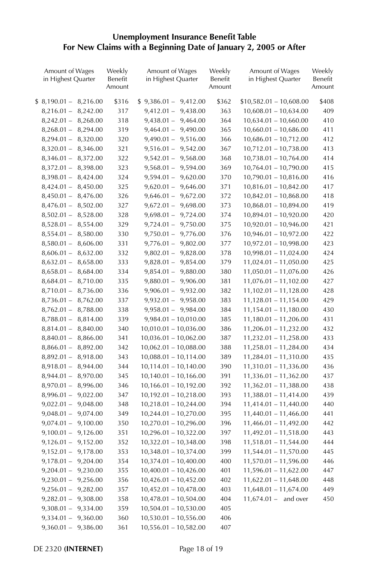# **Unemployment Insurance Benefit Table For New Claims with a Beginning Date of January 2, 2005 or After**

| Amount of Wages<br>in Highest Quarter | Weekly<br>Benefit<br>Amount | Amount of Wages<br>in Highest Quarter | Weekly<br>Benefit<br>Amount | Amount of Wages<br>in Highest Quarter | Weekly<br>Benefit<br>Amount |
|---------------------------------------|-----------------------------|---------------------------------------|-----------------------------|---------------------------------------|-----------------------------|
| $$8,190.01-$<br>8,216.00              | \$316                       | $$9,386.01 - 9,412.00$                | \$362                       | $$10,582.01 - 10,608.00$              | \$408                       |
| $8,216.01 -$<br>8,242.00              | 317                         | $9,412.01 -$<br>9,438.00              | 363                         | $10,608.01 - 10,634.00$               | 409                         |
| $8,242.01 -$<br>8,268.00              | 318                         | $9,438.01 - 9,464.00$                 | 364                         | $10,634.01 - 10,660.00$               | 410                         |
| $8,268.01 -$<br>8,294.00              | 319                         | $9,464.01 - 9,490.00$                 | 365                         | $10,660.01 - 10,686.00$               | 411                         |
| $8,294.01 -$<br>8,320.00              | 320                         | $9,490.01 - 9,516.00$                 | 366                         | $10,686.01 - 10,712.00$               | 412                         |
| $8,320.01 -$<br>8,346.00              | 321                         | $9,516.01 - 9,542.00$                 | 367                         | $10,712.01 - 10,738.00$               | 413                         |
| $8,346.01 -$<br>8,372.00              | 322                         | $9,542.01 - 9,568.00$                 | 368                         | 10,738.01 - 10,764.00                 | 414                         |
| $8,372.01 -$<br>8,398.00              | 323                         | $9,568.01 - 9,594.00$                 | 369                         | $10,764.01 - 10,790.00$               | 415                         |
| $8,398.01 -$<br>8,424.00              | 324                         | $9,594.01 - 9,620.00$                 | 370                         | $10,790.01 - 10,816.00$               | 416                         |
| $8,424.01 -$<br>8,450.00              | 325                         | $9,620.01 - 9,646.00$                 | 371                         | $10,816.01 - 10,842.00$               | 417                         |
| $8,450.01 -$<br>8,476.00              | 326                         | $9,646.01 - 9,672.00$                 | 372                         | $10,842.01 - 10,868.00$               | 418                         |
| $8,476.01 -$<br>8,502.00              | 327                         | $9,672.01 - 9,698.00$                 | 373                         | $10,868.01 - 10,894.00$               | 419                         |
| $8,502.01 -$<br>8,528.00              | 328                         | $9,698.01 - 9,724.00$                 | 374                         | $10,894.01 - 10,920.00$               | 420                         |
| 8,554.00<br>$8,528.01 -$              | 329                         | $9,724.01 - 9,750.00$                 | 375                         | $10,920.01 - 10,946.00$               | 421                         |
| $8,554.01 -$<br>8,580.00              | 330                         | $9,750.01 - 9,776.00$                 | 376                         | $10,946.01 - 10,972.00$               | 422                         |
| $8,580.01 -$<br>8,606.00              | 331                         | $9,776.01 - 9,802.00$                 | 377                         | $10,972.01 - 10,998.00$               | 423                         |
| $8,606.01 -$<br>8,632.00              | 332                         | $9,802.01 - 9,828.00$                 | 378                         | $10,998.01 - 11,024.00$               | 424                         |
| 8,658.00<br>$8,632.01 -$              | 333                         | $9,828.01 - 9,854.00$                 | 379                         | $11,024.01 - 11,050.00$               | 425                         |
| $8,658.01 -$<br>8,684.00              | 334                         | $9,854.01 - 9,880.00$                 | 380                         | $11,050.01 - 11,076.00$               | 426                         |
| $8,684.01 -$<br>8,710.00              | 335                         | $9,880.01 - 9,906.00$                 | 381                         | $11,076.01 - 11,102.00$               | 427                         |
| $8,710.01 -$<br>8,736.00              | 336                         | $9,906.01 - 9,932.00$                 | 382                         | $11,102.01 - 11,128.00$               | 428                         |
| 8,762.00<br>$8,736.01 -$              | 337                         | $9,932.01 - 9,958.00$                 | 383                         | $11,128.01 - 11,154.00$               | 429                         |
| $8,762.01 -$<br>8,788.00              | 338                         | $9,958.01 - 9,984.00$                 | 384                         | $11,154.01 - 11,180.00$               | 430                         |
| $8,788.01 -$<br>8,814.00              | 339                         | $9,984.01 - 10,010.00$                | 385                         | $11,180.01 - 11,206.00$               | 431                         |
| 8,840.00<br>$8,814.01 -$              | 340                         | $10,010.01 - 10,036.00$               | 386                         | $11,206.01 - 11,232.00$               | 432                         |
| $8,840.01 -$<br>8,866.00              | 341                         | $10,036.01 - 10,062.00$               | 387                         | $11,232.01 - 11,258.00$               | 433                         |
| 8,892.00<br>$8,866.01 -$              | 342                         | $10,062.01 - 10,088.00$               | 388                         | $11,258.01 - 11,284.00$               | 434                         |
| $8,892.01 -$<br>8,918.00              | 343                         | $10,088.01 - 10,114.00$               | 389                         | 11,284.01 - 11,310.00                 | 435                         |
| $8,918.01 -$<br>8,944.00              | 344                         | 10,114.01 - 10,140.00                 | 390                         | 11,310.01 - 11,336.00                 | 436                         |
| $8,944.01 -$<br>8,970.00              | 345                         | $10,140.01 - 10,166.00$               | 391                         | 11,336.01 - 11,362.00                 | 437                         |
| $8,970.01 -$<br>8,996.00              | 346                         | $10,166.01 - 10,192.00$               | 392                         | $11,362.01 - 11,388.00$               | 438                         |
| $8,996.01 -$<br>9,022.00              | 347                         | $10,192.01 - 10,218.00$               | 393                         | $11,388.01 - 11,414.00$               | 439                         |
| $9,022.01 -$<br>9,048.00              | 348                         | $10,218.01 - 10,244.00$               | 394                         | 11,414.01 - 11,440.00                 | 440                         |
| $9,048.01 -$<br>9,074.00              | 349                         | $10,244.01 - 10,270.00$               | 395                         | $11,440.01 - 11,466.00$               | 441                         |
| $9,074.01 -$<br>9,100.00              | 350                         | $10,270.01 - 10,296.00$               | 396                         | $11,466.01 - 11,492.00$               | 442                         |
| $9,100.01 -$<br>9,126.00              | 351                         | $10,296.01 - 10,322.00$               | 397                         | $11,492.01 - 11,518.00$               | 443                         |
| $9,126.01 -$<br>9,152.00              | 352                         | $10,322.01 - 10,348.00$               | 398                         | $11,518.01 - 11,544.00$               | 444                         |
| $9,152.01 -$<br>9,178.00              | 353                         | $10,348.01 - 10,374.00$               | 399                         | 11,544.01 - 11,570.00                 | 445                         |
| $9,178.01 -$<br>9,204.00              | 354                         | $10,374.01 - 10,400.00$               | 400                         | $11,570.01 - 11,596.00$               | 446                         |
| $9,204.01 -$<br>9,230.00              | 355                         | $10,400.01 - 10,426.00$               | 401                         | $11,596.01 - 11,622.00$               | 447                         |
| 9,256.00<br>$9,230.01 -$              | 356                         | $10,426.01 - 10,452.00$               | 402                         | $11,622.01 - 11,648.00$               | 448                         |
| $9,256.01 -$<br>9,282.00              | 357                         | $10,452.01 - 10,478.00$               | 403                         | $11,648.01 - 11,674.00$               | 449                         |
| $9,282.01 -$<br>9,308.00              | 358                         | $10,478.01 - 10,504.00$               | 404                         | $11,674.01 -$<br>and over             | 450                         |
| $9,308.01 -$<br>9,334.00              | 359                         | $10,504.01 - 10,530.00$               | 405                         |                                       |                             |
| 9,360.00<br>$9,334.01 -$              | 360                         | $10,530.01 - 10,556.00$               | 406                         |                                       |                             |
| $9,360.01 -$<br>9,386.00              | 361                         | $10,556.01 - 10,582.00$               | 407                         |                                       |                             |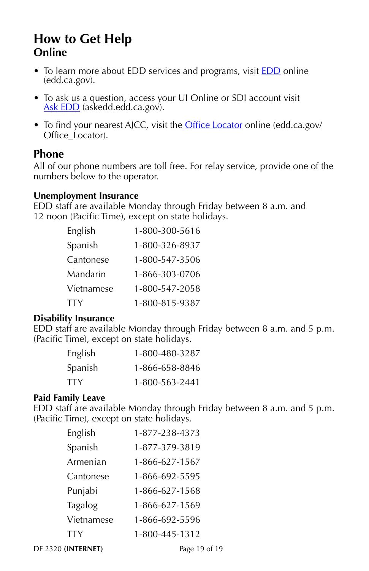## <span id="page-19-0"></span>**How to Get Help Online**

- To learn more about [EDD](https://edd.ca.gov/) services and programs, visit **EDD** online (edd.ca.gov).
- To ask us a question, access your UI Online or SDI account visit [Ask EDD](https://askedd.edd.ca.gov/) (askedd.edd.ca.gov).
- To find your nearest AJCC, visit the [Office Locator](https://edd.ca.gov/Office_Locator/) online (edd.ca.gov/ Office\_Locator).

#### **Phone**

All of our phone numbers are toll free. For relay service, provide one of the numbers below to the operator.

#### **Unemployment Insurance**

EDD staff are available Monday through Friday between 8 a.m. and 12 noon (Pacific Time), except on state holidays.

| English    | 1-800-300-5616 |
|------------|----------------|
| Spanish    | 1-800-326-8937 |
| Cantonese  | 1-800-547-3506 |
| Mandarin   | 1-866-303-0706 |
| Vietnamese | 1-800-547-2058 |
| TTY        | 1-800-815-9387 |

#### **Disability Insurance**

EDD staff are available Monday through Friday between 8 a.m. and 5 p.m. (Pacific Time), except on state holidays.

| English | 1-800-480-3287 |
|---------|----------------|
| Spanish | 1-866-658-8846 |
| TTY     | 1-800-563-2441 |

#### **Paid Family Leave**

EDD staff are available Monday through Friday between 8 a.m. and 5 p.m. (Pacific Time), except on state holidays.

| English    | 1-877-238-4373 |
|------------|----------------|
| Spanish    | 1-877-379-3819 |
| Armenian   | 1-866-627-1567 |
| Cantonese  | 1-866-692-5595 |
| Punjabi    | 1-866-627-1568 |
| Tagalog    | 1-866-627-1569 |
| Vietnamese | 1-866-692-5596 |
| TTY        | 1-800-445-1312 |

DE 2320 **(INTERNET)** Page 19 of 19